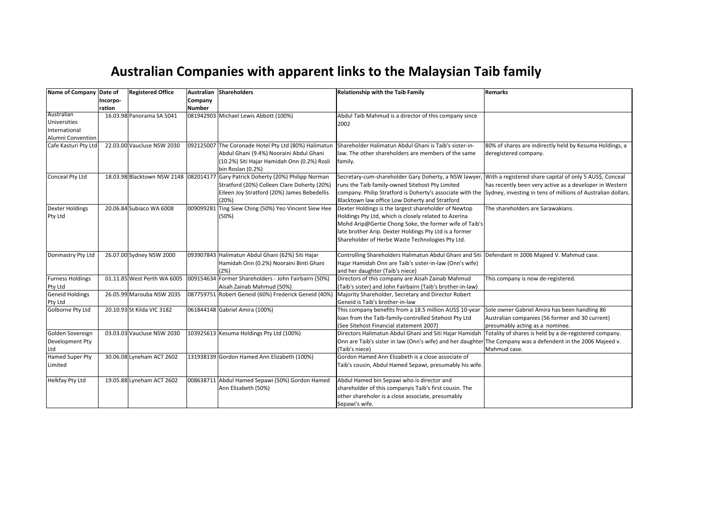## Australian Companies with apparent links to the Malaysian Taib family

| Name of Company Date of                            |          | <b>Registered Office</b>    |           | Australian Shareholders                                                                                                                                                                | <b>Relationship with the Taib Family</b>                                                                                                                                                                                                                                                                                                      | Remarks                                                                                                                             |
|----------------------------------------------------|----------|-----------------------------|-----------|----------------------------------------------------------------------------------------------------------------------------------------------------------------------------------------|-----------------------------------------------------------------------------------------------------------------------------------------------------------------------------------------------------------------------------------------------------------------------------------------------------------------------------------------------|-------------------------------------------------------------------------------------------------------------------------------------|
|                                                    | Incorpo- |                             | Company   |                                                                                                                                                                                        |                                                                                                                                                                                                                                                                                                                                               |                                                                                                                                     |
|                                                    | ration   |                             | Number    |                                                                                                                                                                                        |                                                                                                                                                                                                                                                                                                                                               |                                                                                                                                     |
| Australian<br><b>Universities</b><br>International |          | 16.03.98 Panorama SA 5041   |           | 081942903 Michael Lewis Abbott (100%)                                                                                                                                                  | Abdul Taib Mahmud is a director of this company since<br>2002                                                                                                                                                                                                                                                                                 |                                                                                                                                     |
| Alumni Convention                                  |          |                             |           |                                                                                                                                                                                        |                                                                                                                                                                                                                                                                                                                                               |                                                                                                                                     |
| Cafe Kasturi Pty Ltd                               |          | 22.03.00 Vaucluse NSW 2030  |           | 092125007 The Coronade Hotel Pty Ltd (80%) Halimatun<br>Abdul Ghani (9.4%) Nooraini Abdul Ghani<br>(10.2%) Siti Hajar Hamidah Onn (0.2%) Rosli<br>bin Roslan (0.2%)                    | Shareholder Halimatun Abdul Ghani is Taib's sister-in-<br>law. The other shareholders are members of the same<br> family.                                                                                                                                                                                                                     | 80% of shares are indirectly held by Kesuma Holdings, a<br>deregistered company.                                                    |
| Conceal Pty Ltd                                    |          |                             |           | 18.03.98 Blacktown NSW 2148 082014177 Gary Patrick Doherty (20%) Philipp Norman<br>Stratford (20%) Colleen Clare Doherty (20%)<br>Eileen Joy Stratford (20%) James Bebedellis<br>(20%) | Secretary-cum-shareholder Gary Doherty, a NSW lawyer, With a registered share capital of only 5 AUS\$, Conceal<br>runs the Taib family-owned Sitehost Pty Limited<br>company. Philip Stratford is Doherty's associate with the Sydney, investing in tens of millions of Australian dollars.<br>Blacktown law office Low Doherty and Stratford | has recently been very active as a developer in Western                                                                             |
| Dexter Holdings<br>Pty Ltd                         |          | 20.06.84 Subiaco WA 6008    | 009099281 | Ting Siew Ching (50%) Yeo Vincent Siew Hee<br>(50%)                                                                                                                                    | Dexter Holdings is the largest shareholder of Newtop<br>Holdings Pty Ltd, which is closely related to Azerina<br>Mohd Arip@Gertie Chong Soke, the former wife of Taib's<br>late brother Arip. Dexter Holdings Pty Ltd is a former<br>Shareholder of Herbe Waste Technologies Pty Ltd.                                                         | The shareholders are Sarawakians.                                                                                                   |
| Donmastry Pty Ltd                                  |          | 26.07.00 Sydney NSW 2000    |           | 093907843 Halimatun Abdul Ghani (62%) Siti Hajar<br>Hamidah Onn (0.2%) Nooraini Binti Ghani<br>(2%)                                                                                    | Controlling Shareholders Halimatun Abdul Ghani and Siti Defendant in 2006 Majeed V. Mahmud case.<br>Hajar Hamidah Onn are Taib's sister-in-law (Onn's wife)<br>and her daughter (Taib's niece)                                                                                                                                                |                                                                                                                                     |
| Furness Holdings<br>Pty Ltd                        |          | 01.11.85 West Perth WA 6005 |           | 009154634 Former Shareholders - John Fairbairn (50%)<br>Aisah Zainab Mahmud (50%)                                                                                                      | Directors of this company are Aisah Zainab Mahmud<br>(Taib's sister) and John Fairbairn (Taib's brother-in-law)                                                                                                                                                                                                                               | This company is now de-registered.                                                                                                  |
| <b>Geneid Holdings</b><br>Pty Ltd                  |          | 26.05.99 Marouba NSW 2035   |           | 087759751 Robert Geneid (60%) Frederick Geneid (40%)                                                                                                                                   | Majority Shareholder, Secretary and Director Robert<br>Geneid is Taib's brother-in-law                                                                                                                                                                                                                                                        |                                                                                                                                     |
| Golborne Pty Ltd                                   |          | 20.10.93 St Kilda VIC 3182  |           | 061844148 Gabriel Amira (100%)                                                                                                                                                         | This company benefits from a 18.5 million AUS\$ 10-year<br>loan from the Taib-family-controlled Sitehost Pty Ltd<br>(See Sitehost Financial statement 2007)                                                                                                                                                                                   | Sole owner Gabriel Amira has been handling 86<br>Australian companies (56 former and 30 current)<br>presumably acting as a nominee. |
| Golden Sovereign<br>Development Pty<br>Ltd         |          | 03.03.03 Vaucluse NSW 2030  |           | 103925613 Kesuma Holdings Pty Ltd (100%)                                                                                                                                               | Directors Halimatun Abdul Ghani and Siti Hajar Hamidah<br>Onn are Taib's sister in law (Onn's wife) and her daughter The Company was a defendent in the 2006 Majeed v.<br>(Taib's niece)                                                                                                                                                      | Totality of shares is held by a de-registered company.<br>Mahmud case.                                                              |
| Hamed Super Pty<br>Limited                         |          | 30.06.08 Lyneham ACT 2602   |           | 131938139 Gordon Hamed Ann Elizabeth (100%)                                                                                                                                            | Gordon Hamed Ann Elizabeth is a close associate of<br>Taib's cousin, Abdul Hamed Sepawi, presumably his wife.                                                                                                                                                                                                                                 |                                                                                                                                     |
| Helkfay Pty Ltd                                    |          | 19.05.88 Lyneham ACT 2602   |           | 008638711 Abdul Hamed Sepawi (50%) Gordon Hamed<br>Ann Elizabeth (50%)                                                                                                                 | Abdul Hamed bin Sepawi who is director and<br>shareholder of this companyis Taib's first cousin. The<br>other shareholer is a close associate, presumably<br>Sepawi's wife.                                                                                                                                                                   |                                                                                                                                     |